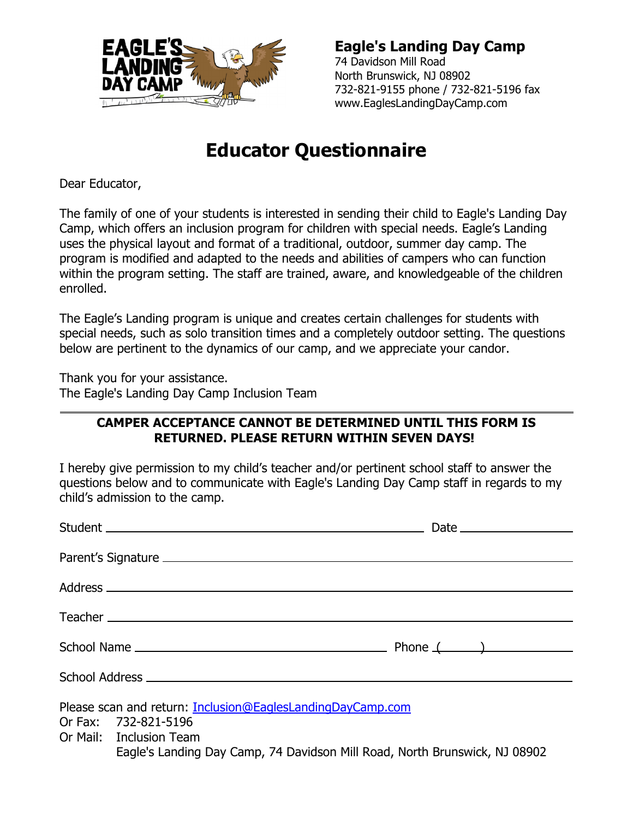

**Eagle's Landing Day Camp** 74 Davidson Mill Road North Brunswick, NJ 08902 732-821-9155 phone / 732-821-5196 fax www.EaglesLandingDayCamp.com

## **Educator Questionnaire**

Dear Educator,

The family of one of your students is interested in sending their child to Eagle's Landing Day Camp, which offers an inclusion program for children with special needs. Eagle's Landing uses the physical layout and format of a traditional, outdoor, summer day camp. The program is modified and adapted to the needs and abilities of campers who can function within the program setting. The staff are trained, aware, and knowledgeable of the children enrolled.

The Eagle's Landing program is unique and creates certain challenges for students with special needs, such as solo transition times and a completely outdoor setting. The questions below are pertinent to the dynamics of our camp, and we appreciate your candor.

Thank you for your assistance. The Eagle's Landing Day Camp Inclusion Team

## **CAMPER ACCEPTANCE CANNOT BE DETERMINED UNTIL THIS FORM IS RETURNED. PLEASE RETURN WITHIN SEVEN DAYS!**

I hereby give permission to my child's teacher and/or pertinent school staff to answer the questions below and to communicate with Eagle's Landing Day Camp staff in regards to my child's admission to the camp.

|  | Please scan and return: Inclusion@EaglesLandingDayCamp.com<br>Or Fax: 732-821-5196<br>Or Mail: Inclusion Team |                                                                            |
|--|---------------------------------------------------------------------------------------------------------------|----------------------------------------------------------------------------|
|  |                                                                                                               | Eagle's Landing Day Camp, 74 Davidson Mill Road, North Brunswick, NJ 08902 |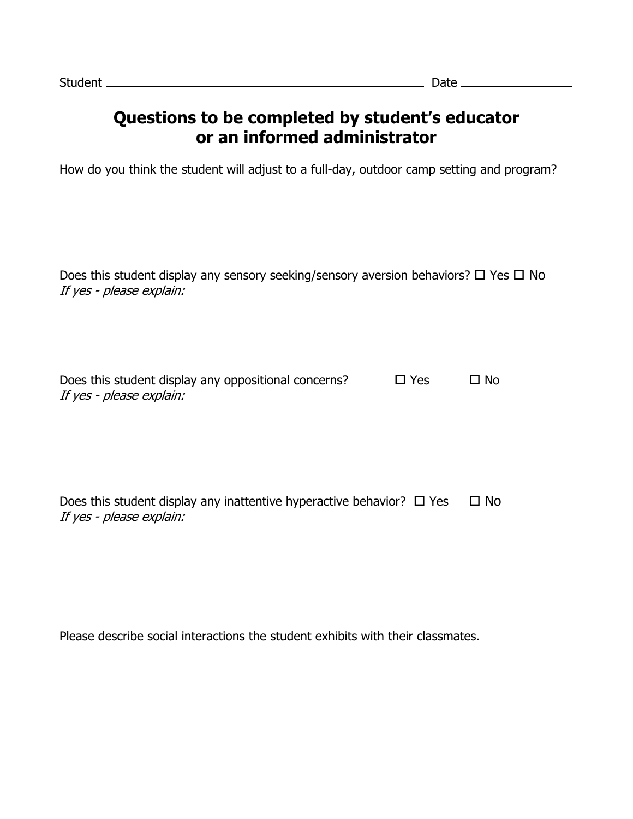## **Questions to be completed by student's educator or an informed administrator**

How do you think the student will adjust to a full-day, outdoor camp setting and program?

Does this student display any sensory seeking/sensory aversion behaviors?  $\Box$  Yes  $\Box$  No If yes - please explain:

| Does this student display any oppositional concerns? | $\Box$ Yes | $\Box$ No |
|------------------------------------------------------|------------|-----------|
| If yes - please explain:                             |            |           |

Does this student display any inattentive hyperactive behavior?  $\Box$  Yes  $\Box$  No If yes - please explain:

Please describe social interactions the student exhibits with their classmates.